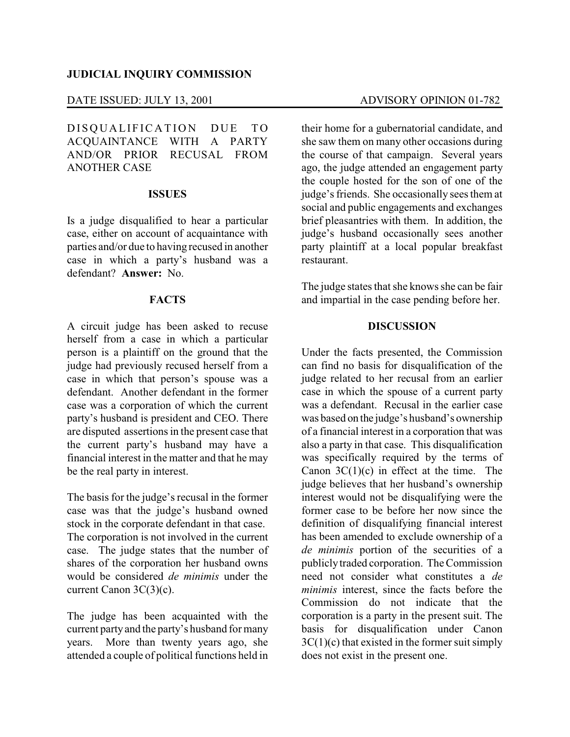#### **JUDICIAL INQUIRY COMMISSION**

### DATE ISSUED: JULY 13, 2001 ADVISORY OPINION 01-782

DISQUALIFICATION DUE TO ACQUAINTANCE WITH A PARTY AND/OR PRIOR RECUSAL FROM ANOTHER CASE

## **ISSUES**

Is a judge disqualified to hear a particular case, either on account of acquaintance with parties and/or due to having recused in another case in which a party's husband was a defendant? **Answer:** No.

### **FACTS**

A circuit judge has been asked to recuse herself from a case in which a particular person is a plaintiff on the ground that the judge had previously recused herself from a case in which that person's spouse was a defendant. Another defendant in the former case was a corporation of which the current party's husband is president and CEO. There are disputed assertions in the present case that the current party's husband may have a financial interest in the matter and that he may be the real party in interest.

The basis for the judge's recusal in the former case was that the judge's husband owned stock in the corporate defendant in that case. The corporation is not involved in the current case. The judge states that the number of shares of the corporation her husband owns would be considered *de minimis* under the current Canon 3C(3)(c).

The judge has been acquainted with the current party and the party's husband for many years. More than twenty years ago, she attended a couple of political functions held in

their home for a gubernatorial candidate, and she saw them on many other occasions during the course of that campaign. Several years ago, the judge attended an engagement party the couple hosted for the son of one of the judge's friends. She occasionally sees them at social and public engagements and exchanges brief pleasantries with them. In addition, the judge's husband occasionally sees another party plaintiff at a local popular breakfast restaurant.

The judge states that she knows she can be fair and impartial in the case pending before her.

#### **DISCUSSION**

Under the facts presented, the Commission can find no basis for disqualification of the judge related to her recusal from an earlier case in which the spouse of a current party was a defendant. Recusal in the earlier case was based on the judge's husband's ownership of a financial interest in a corporation that was also a party in that case. This disqualification was specifically required by the terms of Canon  $3C(1)(c)$  in effect at the time. The judge believes that her husband's ownership interest would not be disqualifying were the former case to be before her now since the definition of disqualifying financial interest has been amended to exclude ownership of a *de minimis* portion of the securities of a publiclytraded corporation. The Commission need not consider what constitutes a *de minimis* interest, since the facts before the Commission do not indicate that the corporation is a party in the present suit. The basis for disqualification under Canon  $3C(1)(c)$  that existed in the former suit simply does not exist in the present one.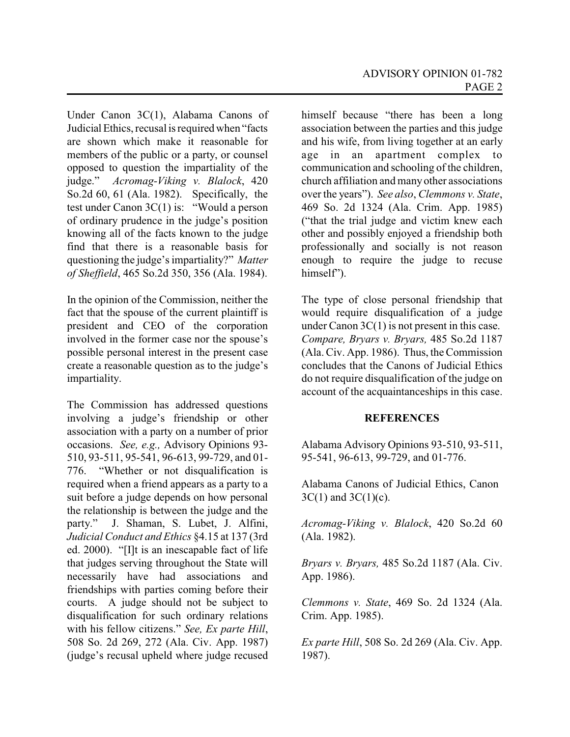Under Canon 3C(1), Alabama Canons of Judicial Ethics, recusal is required when "facts are shown which make it reasonable for members of the public or a party, or counsel opposed to question the impartiality of the judge." *Acromag-Viking v. Blalock*, 420 So.2d 60, 61 (Ala. 1982). Specifically, the test under Canon 3C(1) is: "Would a person of ordinary prudence in the judge's position knowing all of the facts known to the judge find that there is a reasonable basis for questioning the judge's impartiality?" *Matter of Sheffield*, 465 So.2d 350, 356 (Ala. 1984).

In the opinion of the Commission, neither the fact that the spouse of the current plaintiff is president and CEO of the corporation involved in the former case nor the spouse's possible personal interest in the present case create a reasonable question as to the judge's impartiality.

The Commission has addressed questions involving a judge's friendship or other association with a party on a number of prior occasions. *See, e.g.,* Advisory Opinions 93- 510, 93-511, 95-541, 96-613, 99-729, and 01- 776. "Whether or not disqualification is required when a friend appears as a party to a suit before a judge depends on how personal the relationship is between the judge and the party." J. Shaman, S. Lubet, J. Alfini, *Judicial Conduct and Ethics* §4.15 at 137 (3rd ed. 2000). "[I]t is an inescapable fact of life that judges serving throughout the State will necessarily have had associations and friendships with parties coming before their courts. A judge should not be subject to disqualification for such ordinary relations with his fellow citizens." *See, Ex parte Hill*, 508 So. 2d 269, 272 (Ala. Civ. App. 1987) (judge's recusal upheld where judge recused

himself because "there has been a long association between the parties and this judge and his wife, from living together at an early age in an apartment complex to communication and schooling of the children, church affiliation and manyother associations over the years"). *See also*, *Clemmons v. State*, 469 So. 2d 1324 (Ala. Crim. App. 1985) ("that the trial judge and victim knew each other and possibly enjoyed a friendship both professionally and socially is not reason enough to require the judge to recuse himself").

The type of close personal friendship that would require disqualification of a judge under Canon 3C(1) is not present in this case. *Compare, Bryars v. Bryars,* 485 So.2d 1187 (Ala. Civ. App. 1986). Thus, the Commission concludes that the Canons of Judicial Ethics do not require disqualification of the judge on account of the acquaintanceships in this case.

# **REFERENCES**

Alabama Advisory Opinions 93-510, 93-511, 95-541, 96-613, 99-729, and 01-776.

Alabama Canons of Judicial Ethics, Canon  $3C(1)$  and  $3C(1)(c)$ .

*Acromag-Viking v. Blalock*, 420 So.2d 60 (Ala. 1982).

*Bryars v. Bryars,* 485 So.2d 1187 (Ala. Civ. App. 1986).

*Clemmons v. State*, 469 So. 2d 1324 (Ala. Crim. App. 1985).

*Ex parte Hill*, 508 So. 2d 269 (Ala. Civ. App. 1987).